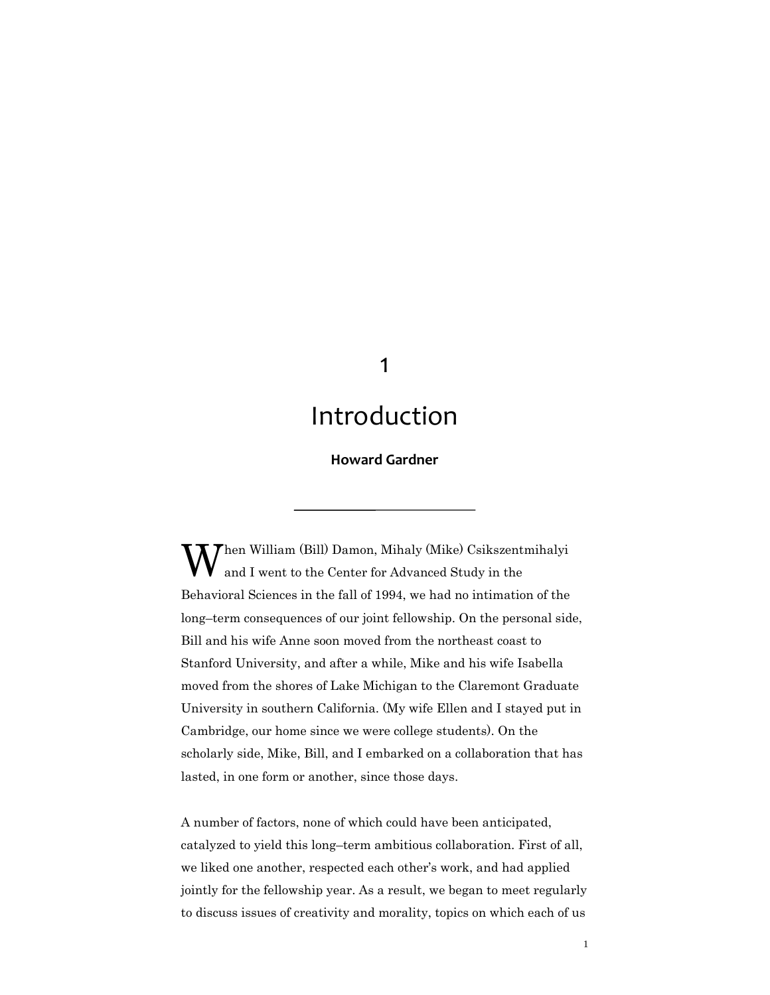# 1

# Introduction

# **Howard Gardner**

When William (Bill) Damon, Mihaly (Mike) Csikszentmihalyi and I went to the Center for Advanced Study in the and I went to the Center for Advanced Study in the Behavioral Sciences in the fall of 1994, we had no intimation of the long–term consequences of our joint fellowship. On the personal side, Bill and his wife Anne soon moved from the northeast coast to Stanford University, and after a while, Mike and his wife Isabella moved from the shores of Lake Michigan to the Claremont Graduate University in southern California. (My wife Ellen and I stayed put in Cambridge, our home since we were college students). On the scholarly side, Mike, Bill, and I embarked on a collaboration that has lasted, in one form or another, since those days.

A number of factors, none of which could have been anticipated, catalyzed to yield this long–term ambitious collaboration. First of all, we liked one another, respected each other's work, and had applied jointly for the fellowship year. As a result, we began to meet regularly to discuss issues of creativity and morality, topics on which each of us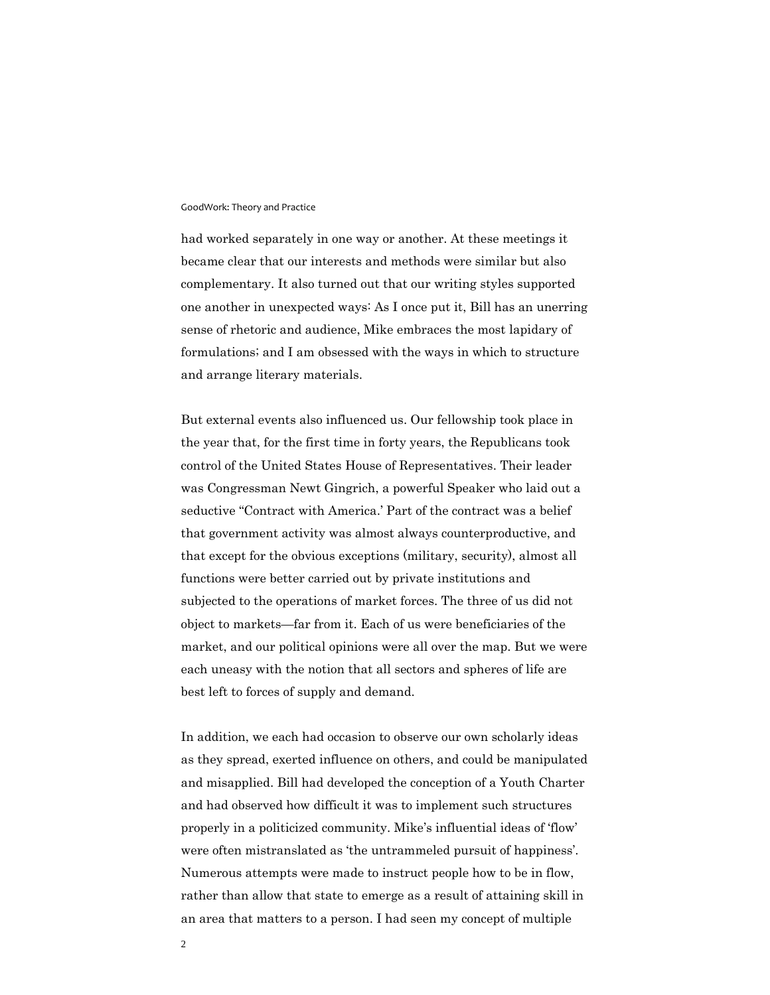had worked separately in one way or another. At these meetings it became clear that our interests and methods were similar but also complementary. It also turned out that our writing styles supported one another in unexpected ways: As I once put it, Bill has an unerring sense of rhetoric and audience, Mike embraces the most lapidary of formulations; and I am obsessed with the ways in which to structure and arrange literary materials.

But external events also influenced us. Our fellowship took place in the year that, for the first time in forty years, the Republicans took control of the United States House of Representatives. Their leader was Congressman Newt Gingrich, a powerful Speaker who laid out a seductive "Contract with America.' Part of the contract was a belief that government activity was almost always counterproductive, and that except for the obvious exceptions (military, security), almost all functions were better carried out by private institutions and subjected to the operations of market forces. The three of us did not object to markets—far from it. Each of us were beneficiaries of the market, and our political opinions were all over the map. But we were each uneasy with the notion that all sectors and spheres of life are best left to forces of supply and demand.

In addition, we each had occasion to observe our own scholarly ideas as they spread, exerted influence on others, and could be manipulated and misapplied. Bill had developed the conception of a Youth Charter and had observed how difficult it was to implement such structures properly in a politicized community. Mike's influential ideas of 'flow' were often mistranslated as 'the untrammeled pursuit of happiness'. Numerous attempts were made to instruct people how to be in flow, rather than allow that state to emerge as a result of attaining skill in an area that matters to a person. I had seen my concept of multiple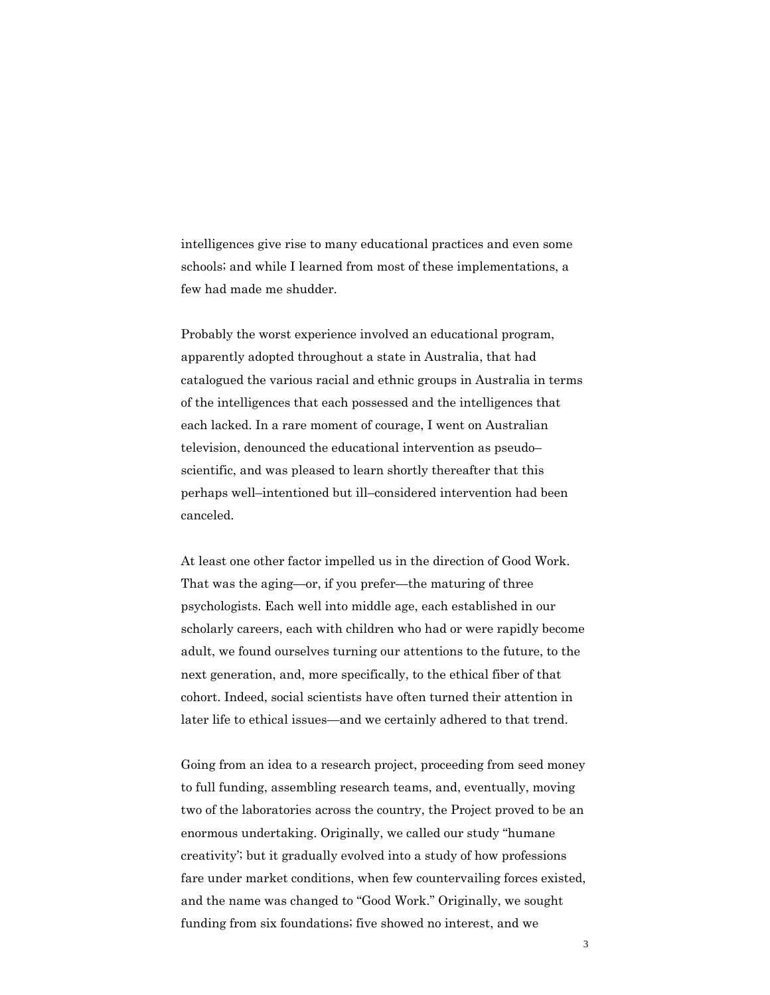intelligences give rise to many educational practices and even some schools; and while I learned from most of these implementations, a few had made me shudder.

Probably the worst experience involved an educational program, apparently adopted throughout a state in Australia, that had catalogued the various racial and ethnic groups in Australia in terms of the intelligences that each possessed and the intelligences that each lacked. In a rare moment of courage, I went on Australian television, denounced the educational intervention as pseudo– scientific, and was pleased to learn shortly thereafter that this perhaps well–intentioned but ill–considered intervention had been canceled.

At least one other factor impelled us in the direction of Good Work. That was the aging—or, if you prefer—the maturing of three psychologists. Each well into middle age, each established in our scholarly careers, each with children who had or were rapidly become adult, we found ourselves turning our attentions to the future, to the next generation, and, more specifically, to the ethical fiber of that cohort. Indeed, social scientists have often turned their attention in later life to ethical issues—and we certainly adhered to that trend.

Going from an idea to a research project, proceeding from seed money to full funding, assembling research teams, and, eventually, moving two of the laboratories across the country, the Project proved to be an enormous undertaking. Originally, we called our study "humane creativity'; but it gradually evolved into a study of how professions fare under market conditions, when few countervailing forces existed, and the name was changed to "Good Work." Originally, we sought funding from six foundations; five showed no interest, and we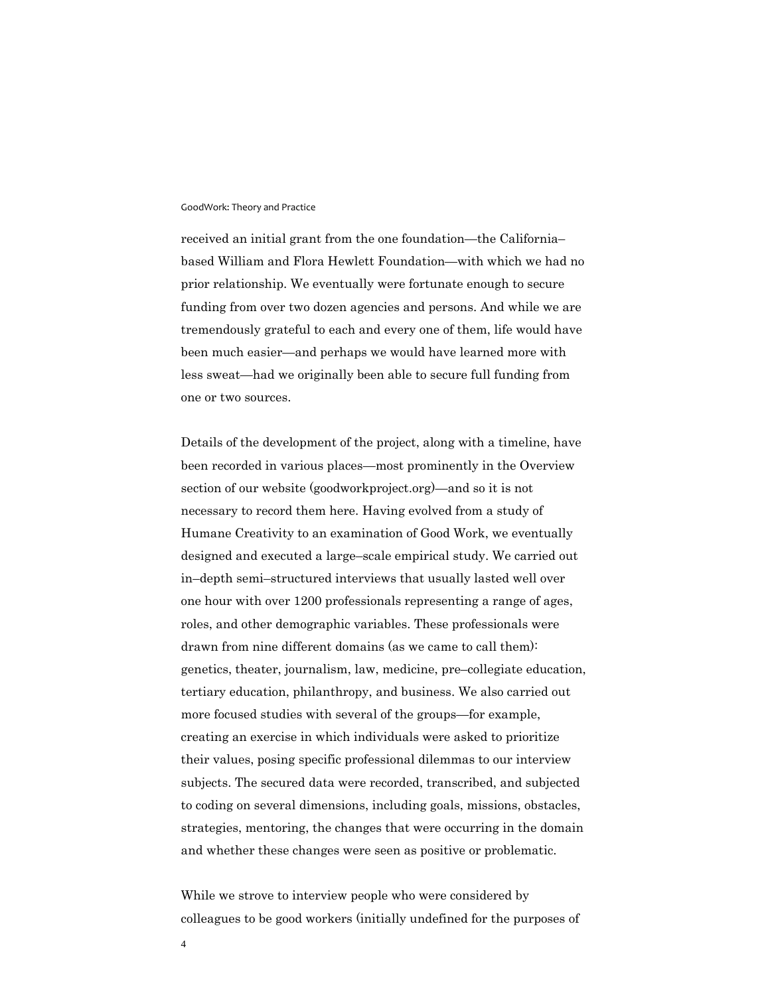received an initial grant from the one foundation—the California– based William and Flora Hewlett Foundation—with which we had no prior relationship. We eventually were fortunate enough to secure funding from over two dozen agencies and persons. And while we are tremendously grateful to each and every one of them, life would have been much easier—and perhaps we would have learned more with less sweat—had we originally been able to secure full funding from one or two sources.

Details of the development of the project, along with a timeline, have been recorded in various places—most prominently in the Overview section of our website (goodworkproject.org)—and so it is not necessary to record them here. Having evolved from a study of Humane Creativity to an examination of Good Work, we eventually designed and executed a large–scale empirical study. We carried out in–depth semi–structured interviews that usually lasted well over one hour with over 1200 professionals representing a range of ages, roles, and other demographic variables. These professionals were drawn from nine different domains (as we came to call them): genetics, theater, journalism, law, medicine, pre–collegiate education, tertiary education, philanthropy, and business. We also carried out more focused studies with several of the groups—for example, creating an exercise in which individuals were asked to prioritize their values, posing specific professional dilemmas to our interview subjects. The secured data were recorded, transcribed, and subjected to coding on several dimensions, including goals, missions, obstacles, strategies, mentoring, the changes that were occurring in the domain and whether these changes were seen as positive or problematic.

While we strove to interview people who were considered by colleagues to be good workers (initially undefined for the purposes of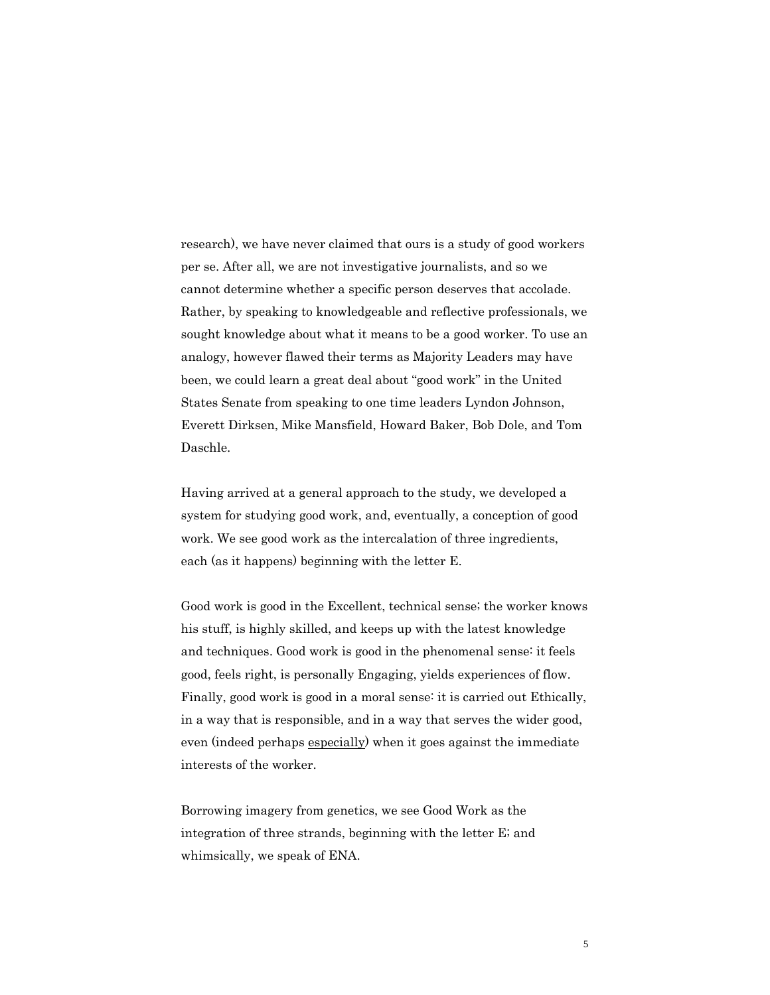research), we have never claimed that ours is a study of good workers per se. After all, we are not investigative journalists, and so we cannot determine whether a specific person deserves that accolade. Rather, by speaking to knowledgeable and reflective professionals, we sought knowledge about what it means to be a good worker. To use an analogy, however flawed their terms as Majority Leaders may have been, we could learn a great deal about "good work" in the United States Senate from speaking to one time leaders Lyndon Johnson, Everett Dirksen, Mike Mansfield, Howard Baker, Bob Dole, and Tom Daschle.

Having arrived at a general approach to the study, we developed a system for studying good work, and, eventually, a conception of good work. We see good work as the intercalation of three ingredients, each (as it happens) beginning with the letter E.

Good work is good in the Excellent, technical sense; the worker knows his stuff, is highly skilled, and keeps up with the latest knowledge and techniques. Good work is good in the phenomenal sense: it feels good, feels right, is personally Engaging, yields experiences of flow. Finally, good work is good in a moral sense: it is carried out Ethically, in a way that is responsible, and in a way that serves the wider good, even (indeed perhaps especially) when it goes against the immediate interests of the worker.

Borrowing imagery from genetics, we see Good Work as the integration of three strands, beginning with the letter E; and whimsically, we speak of ENA.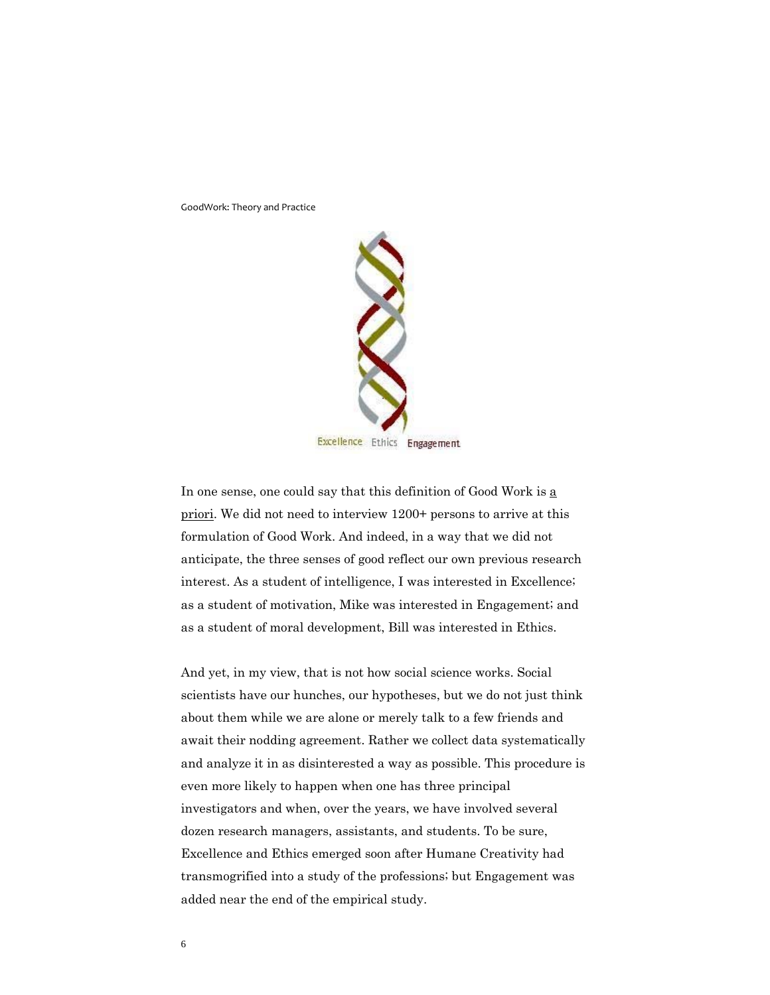

In one sense, one could say that this definition of Good Work is a priori. We did not need to interview 1200+ persons to arrive at this formulation of Good Work. And indeed, in a way that we did not anticipate, the three senses of good reflect our own previous research interest. As a student of intelligence, I was interested in Excellence; as a student of motivation, Mike was interested in Engagement; and as a student of moral development, Bill was interested in Ethics.

And yet, in my view, that is not how social science works. Social scientists have our hunches, our hypotheses, but we do not just think about them while we are alone or merely talk to a few friends and await their nodding agreement. Rather we collect data systematically and analyze it in as disinterested a way as possible. This procedure is even more likely to happen when one has three principal investigators and when, over the years, we have involved several dozen research managers, assistants, and students. To be sure, Excellence and Ethics emerged soon after Humane Creativity had transmogrified into a study of the professions; but Engagement was added near the end of the empirical study.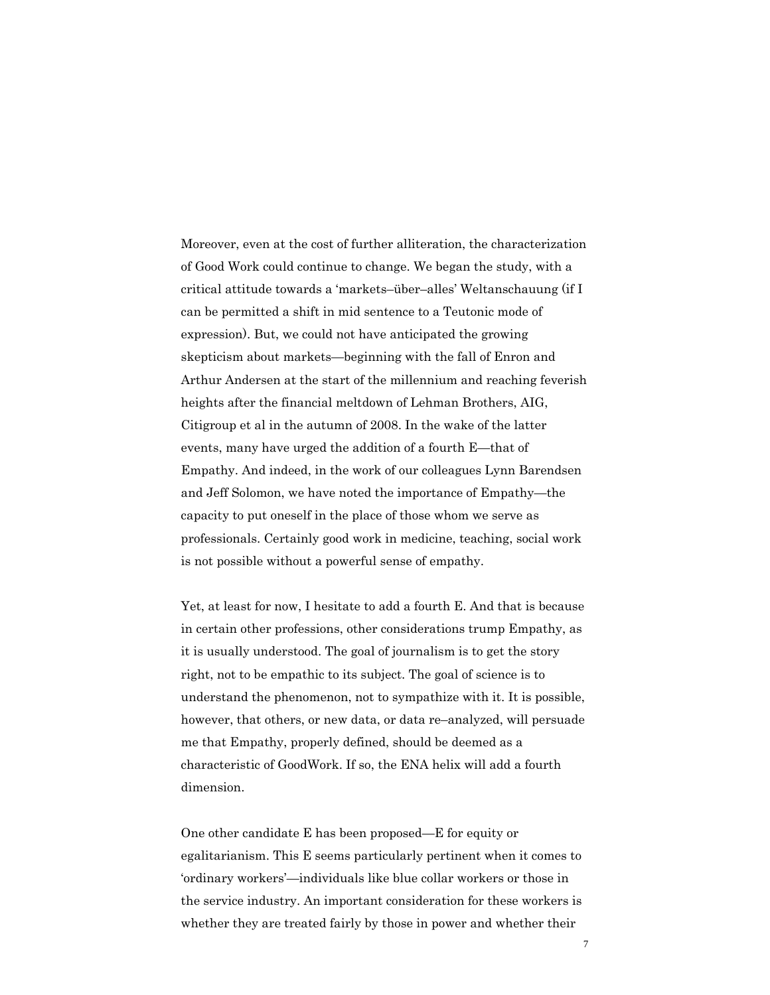Moreover, even at the cost of further alliteration, the characterization of Good Work could continue to change. We began the study, with a critical attitude towards a 'markets–über–alles' Weltanschauung (if I can be permitted a shift in mid sentence to a Teutonic mode of expression). But, we could not have anticipated the growing skepticism about markets—beginning with the fall of Enron and Arthur Andersen at the start of the millennium and reaching feverish heights after the financial meltdown of Lehman Brothers, AIG, Citigroup et al in the autumn of 2008. In the wake of the latter events, many have urged the addition of a fourth E—that of Empathy. And indeed, in the work of our colleagues Lynn Barendsen and Jeff Solomon, we have noted the importance of Empathy—the capacity to put oneself in the place of those whom we serve as professionals. Certainly good work in medicine, teaching, social work is not possible without a powerful sense of empathy.

Yet, at least for now, I hesitate to add a fourth E. And that is because in certain other professions, other considerations trump Empathy, as it is usually understood. The goal of journalism is to get the story right, not to be empathic to its subject. The goal of science is to understand the phenomenon, not to sympathize with it. It is possible, however, that others, or new data, or data re–analyzed, will persuade me that Empathy, properly defined, should be deemed as a characteristic of GoodWork. If so, the ENA helix will add a fourth dimension.

One other candidate E has been proposed—E for equity or egalitarianism. This E seems particularly pertinent when it comes to 'ordinary workers'—individuals like blue collar workers or those in the service industry. An important consideration for these workers is whether they are treated fairly by those in power and whether their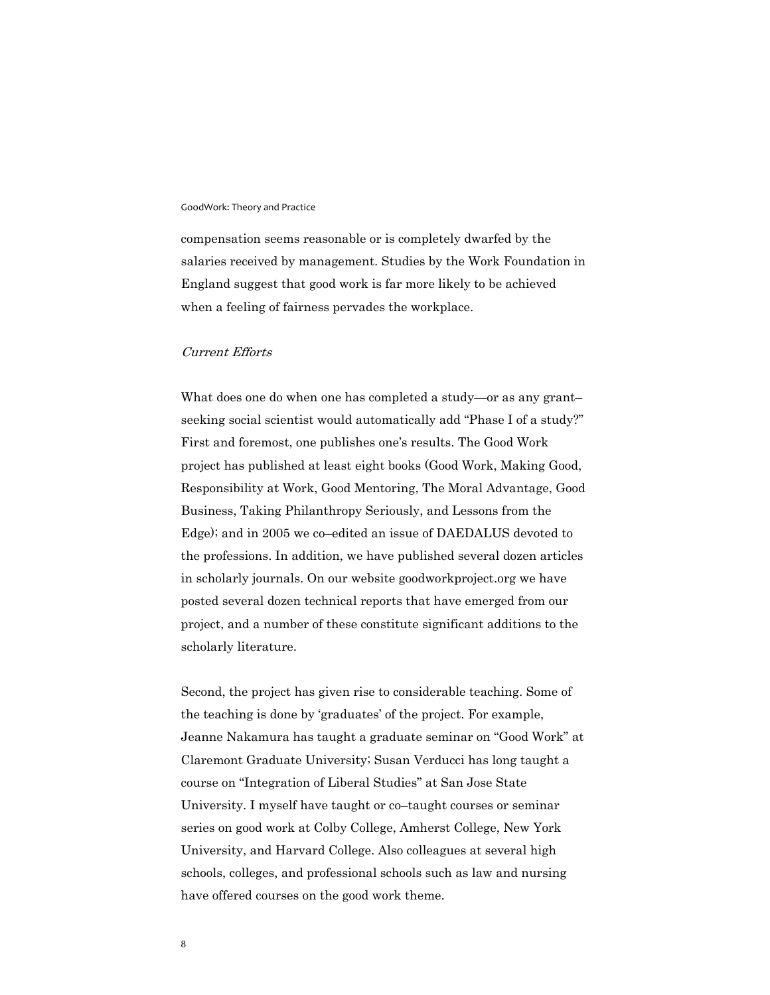compensation seems reasonable or is completely dwarfed by the salaries received by management. Studies by the Work Foundation in England suggest that good work is far more likely to be achieved when a feeling of fairness pervades the workplace.

## Current Efforts

What does one do when one has completed a study—or as any grant– seeking social scientist would automatically add "Phase I of a study?" First and foremost, one publishes one's results. The Good Work project has published at least eight books (Good Work, Making Good, Responsibility at Work, Good Mentoring, The Moral Advantage, Good Business, Taking Philanthropy Seriously, and Lessons from the Edge); and in 2005 we co–edited an issue of DAEDALUS devoted to the professions. In addition, we have published several dozen articles in scholarly journals. On our website goodworkproject.org we have posted several dozen technical reports that have emerged from our project, and a number of these constitute significant additions to the scholarly literature.

Second, the project has given rise to considerable teaching. Some of the teaching is done by 'graduates' of the project. For example, Jeanne Nakamura has taught a graduate seminar on "Good Work" at Claremont Graduate University; Susan Verducci has long taught a course on "Integration of Liberal Studies" at San Jose State University. I myself have taught or co–taught courses or seminar series on good work at Colby College, Amherst College, New York University, and Harvard College. Also colleagues at several high schools, colleges, and professional schools such as law and nursing have offered courses on the good work theme.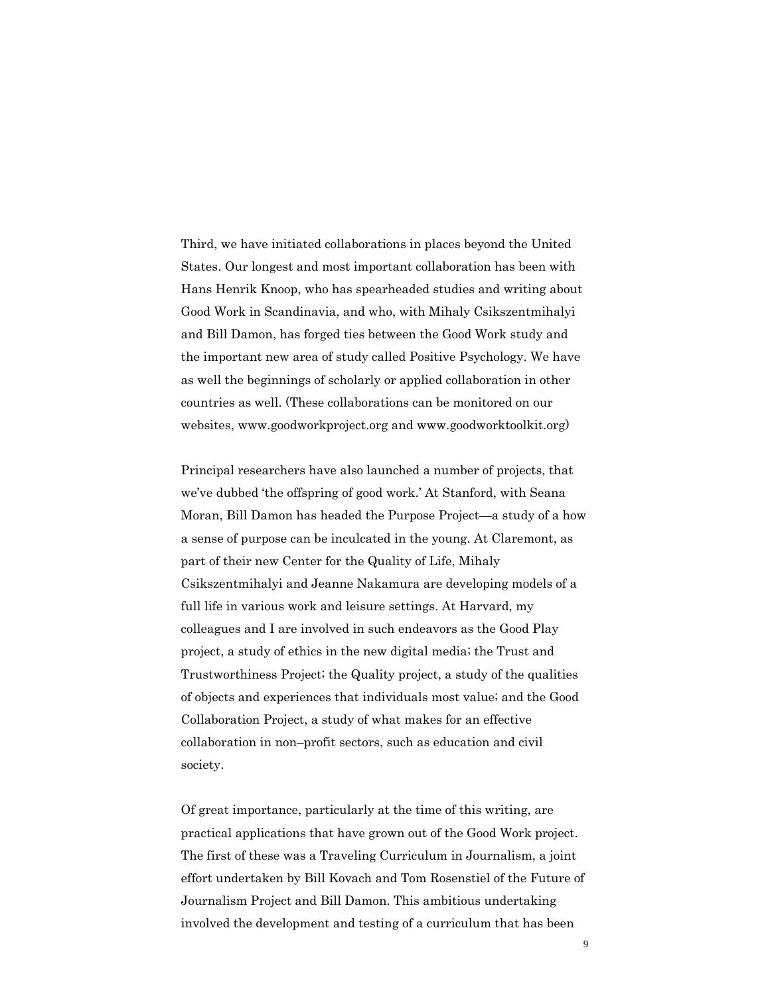Third, we have initiated collaborations in places beyond the United States. Our longest and most important collaboration has been with Hans Henrik Knoop, who has spearheaded studies and writing about Good Work in Scandinavia, and who, with Mihaly Csikszentmihalyi and Bill Damon, has forged ties between the Good Work study and the important new area of study called Positive Psychology. We have as well the beginnings of scholarly or applied collaboration in other countries as well. (These collaborations can be monitored on our websites, www.goodworkproject.org and www.goodworktoolkit.org)

Principal researchers have also launched a number of projects, that we've dubbed 'the offspring of good work.' At Stanford, with Seana Moran, Bill Damon has headed the Purpose Project—a study of a how a sense of purpose can be inculcated in the young. At Claremont, as part of their new Center for the Quality of Life, Mihaly Csikszentmihalyi and Jeanne Nakamura are developing models of a full life in various work and leisure settings. At Harvard, my colleagues and I are involved in such endeavors as the Good Play project, a study of ethics in the new digital media; the Trust and Trustworthiness Project; the Quality project, a study of the qualities of objects and experiences that individuals most value; and the Good Collaboration Project, a study of what makes for an effective collaboration in non–profit sectors, such as education and civil society.

Of great importance, particularly at the time of this writing, are practical applications that have grown out of the Good Work project. The first of these was a Traveling Curriculum in Journalism, a joint effort undertaken by Bill Kovach and Tom Rosenstiel of the Future of Journalism Project and Bill Damon. This ambitious undertaking involved the development and testing of a curriculum that has been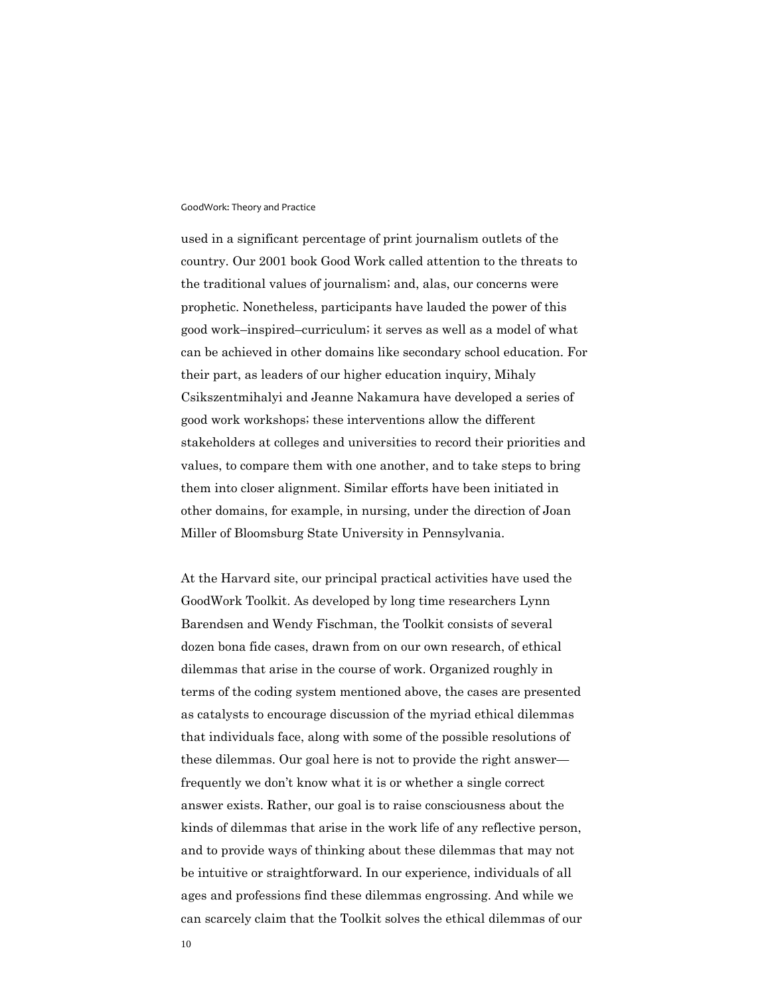used in a significant percentage of print journalism outlets of the country. Our 2001 book Good Work called attention to the threats to the traditional values of journalism; and, alas, our concerns were prophetic. Nonetheless, participants have lauded the power of this good work–inspired–curriculum; it serves as well as a model of what can be achieved in other domains like secondary school education. For their part, as leaders of our higher education inquiry, Mihaly Csikszentmihalyi and Jeanne Nakamura have developed a series of good work workshops; these interventions allow the different stakeholders at colleges and universities to record their priorities and values, to compare them with one another, and to take steps to bring them into closer alignment. Similar efforts have been initiated in other domains, for example, in nursing, under the direction of Joan Miller of Bloomsburg State University in Pennsylvania.

At the Harvard site, our principal practical activities have used the GoodWork Toolkit. As developed by long time researchers Lynn Barendsen and Wendy Fischman, the Toolkit consists of several dozen bona fide cases, drawn from on our own research, of ethical dilemmas that arise in the course of work. Organized roughly in terms of the coding system mentioned above, the cases are presented as catalysts to encourage discussion of the myriad ethical dilemmas that individuals face, along with some of the possible resolutions of these dilemmas. Our goal here is not to provide the right answer frequently we don't know what it is or whether a single correct answer exists. Rather, our goal is to raise consciousness about the kinds of dilemmas that arise in the work life of any reflective person, and to provide ways of thinking about these dilemmas that may not be intuitive or straightforward. In our experience, individuals of all ages and professions find these dilemmas engrossing. And while we can scarcely claim that the Toolkit solves the ethical dilemmas of our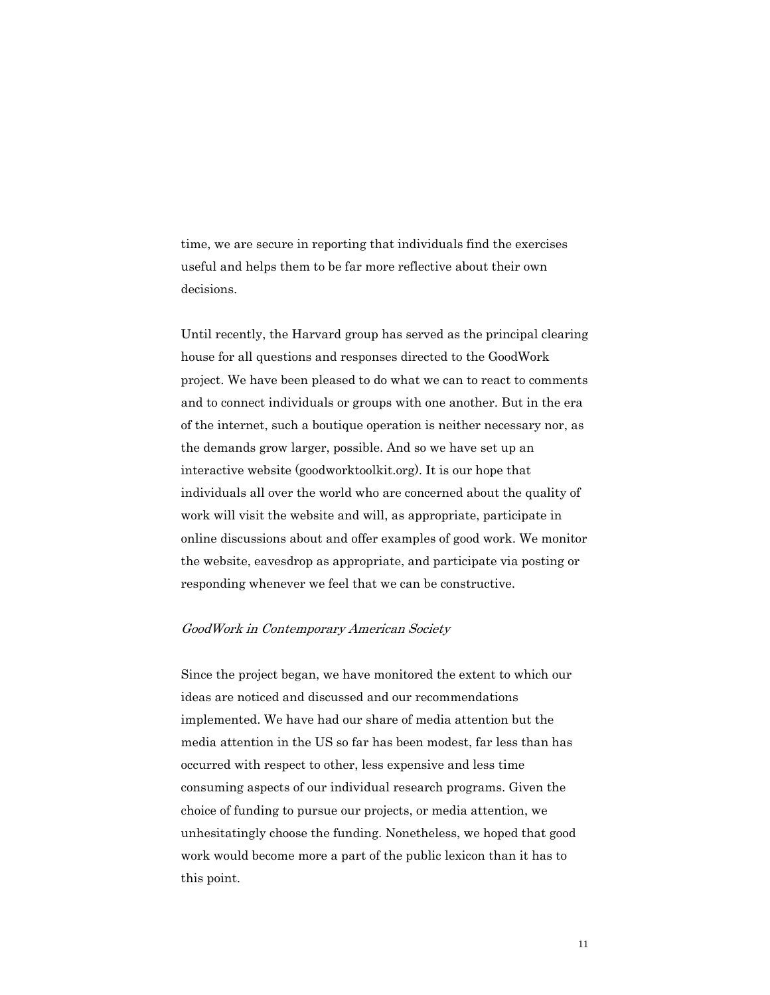time, we are secure in reporting that individuals find the exercises useful and helps them to be far more reflective about their own decisions.

Until recently, the Harvard group has served as the principal clearing house for all questions and responses directed to the GoodWork project. We have been pleased to do what we can to react to comments and to connect individuals or groups with one another. But in the era of the internet, such a boutique operation is neither necessary nor, as the demands grow larger, possible. And so we have set up an interactive website (goodworktoolkit.org). It is our hope that individuals all over the world who are concerned about the quality of work will visit the website and will, as appropriate, participate in online discussions about and offer examples of good work. We monitor the website, eavesdrop as appropriate, and participate via posting or responding whenever we feel that we can be constructive.

### GoodWork in Contemporary American Society

Since the project began, we have monitored the extent to which our ideas are noticed and discussed and our recommendations implemented. We have had our share of media attention but the media attention in the US so far has been modest, far less than has occurred with respect to other, less expensive and less time consuming aspects of our individual research programs. Given the choice of funding to pursue our projects, or media attention, we unhesitatingly choose the funding. Nonetheless, we hoped that good work would become more a part of the public lexicon than it has to this point.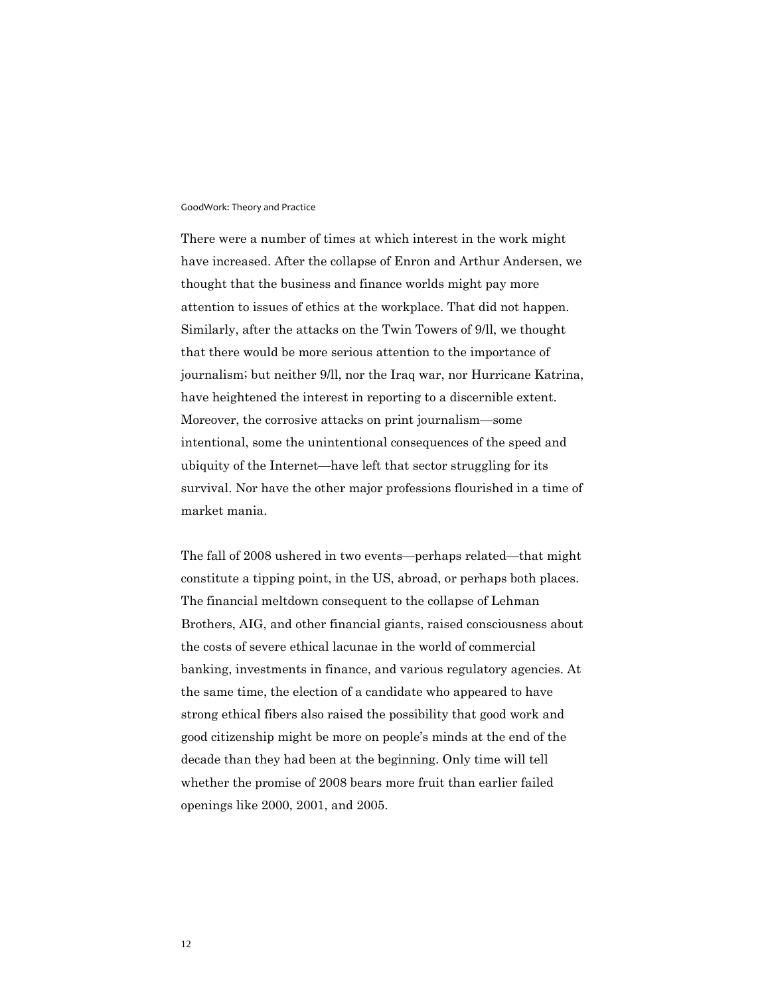There were a number of times at which interest in the work might have increased. After the collapse of Enron and Arthur Andersen, we thought that the business and finance worlds might pay more attention to issues of ethics at the workplace. That did not happen. Similarly, after the attacks on the Twin Towers of 9/ll, we thought that there would be more serious attention to the importance of journalism; but neither 9/ll, nor the Iraq war, nor Hurricane Katrina, have heightened the interest in reporting to a discernible extent. Moreover, the corrosive attacks on print journalism—some intentional, some the unintentional consequences of the speed and ubiquity of the Internet—have left that sector struggling for its survival. Nor have the other major professions flourished in a time of market mania.

The fall of 2008 ushered in two events—perhaps related—that might constitute a tipping point, in the US, abroad, or perhaps both places. The financial meltdown consequent to the collapse of Lehman Brothers, AIG, and other financial giants, raised consciousness about the costs of severe ethical lacunae in the world of commercial banking, investments in finance, and various regulatory agencies. At the same time, the election of a candidate who appeared to have strong ethical fibers also raised the possibility that good work and good citizenship might be more on people's minds at the end of the decade than they had been at the beginning. Only time will tell whether the promise of 2008 bears more fruit than earlier failed openings like 2000, 2001, and 2005.